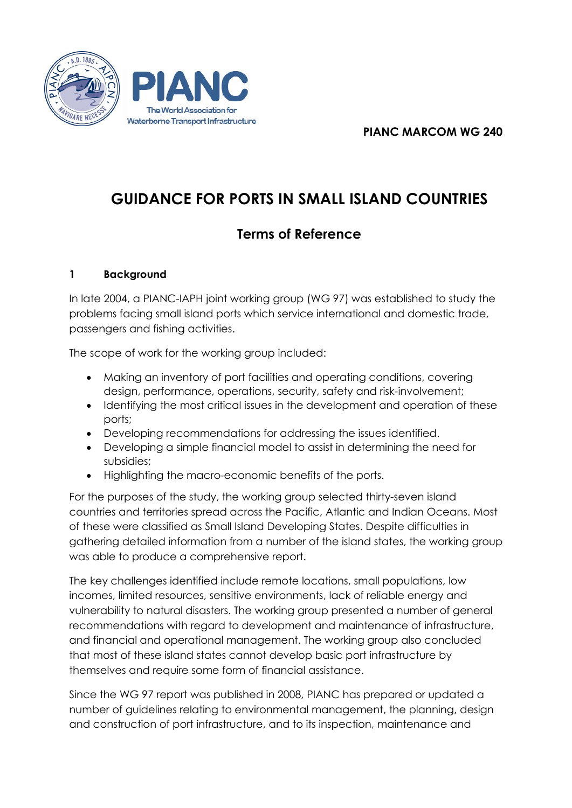



# **GUIDANCE FOR PORTS IN SMALL ISLAND COUNTRIES**

## **Terms of Reference**

#### **1 Background**

In late 2004, a PIANC-IAPH joint working group (WG 97) was established to study the problems facing small island ports which service international and domestic trade, passengers and fishing activities.

The scope of work for the working group included:

- Making an inventory of port facilities and operating conditions, covering design, performance, operations, security, safety and risk-involvement;
- Identifying the most critical issues in the development and operation of these ports;
- Developing recommendations for addressing the issues identified.
- Developing a simple financial model to assist in determining the need for subsidies;
- Highlighting the macro-economic benefits of the ports.

For the purposes of the study, the working group selected thirty-seven island countries and territories spread across the Pacific, Atlantic and Indian Oceans. Most of these were classified as Small Island Developing States. Despite difficulties in gathering detailed information from a number of the island states, the working group was able to produce a comprehensive report.

The key challenges identified include remote locations, small populations, low incomes, limited resources, sensitive environments, lack of reliable energy and vulnerability to natural disasters. The working group presented a number of general recommendations with regard to development and maintenance of infrastructure, and financial and operational management. The working group also concluded that most of these island states cannot develop basic port infrastructure by themselves and require some form of financial assistance.

Since the WG 97 report was published in 2008, PIANC has prepared or updated a number of guidelines relating to environmental management, the planning, design and construction of port infrastructure, and to its inspection, maintenance and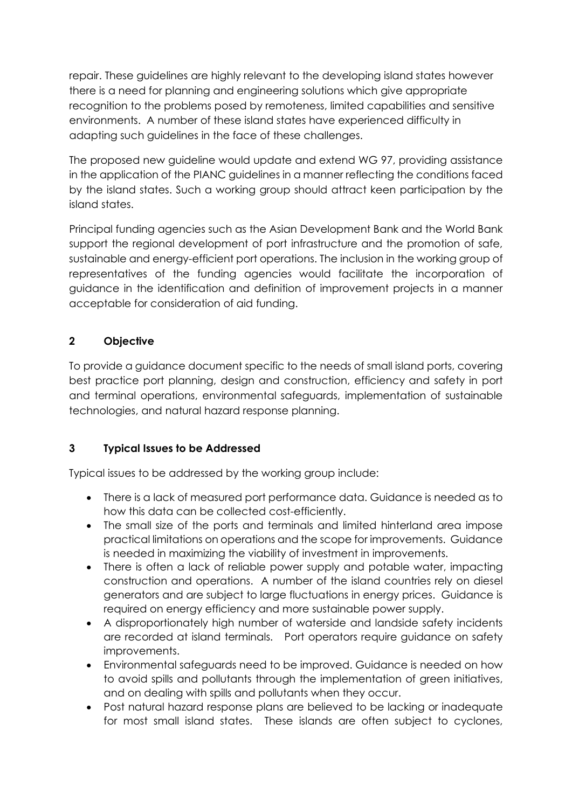repair. These guidelines are highly relevant to the developing island states however there is a need for planning and engineering solutions which give appropriate recognition to the problems posed by remoteness, limited capabilities and sensitive environments. A number of these island states have experienced difficulty in adapting such guidelines in the face of these challenges.

The proposed new guideline would update and extend WG 97, providing assistance in the application of the PIANC guidelines in a manner reflecting the conditions faced by the island states. Such a working group should attract keen participation by the island states.

Principal funding agencies such as the Asian Development Bank and the World Bank support the regional development of port infrastructure and the promotion of safe, sustainable and energy-efficient port operations. The inclusion in the working group of representatives of the funding agencies would facilitate the incorporation of guidance in the identification and definition of improvement projects in a manner acceptable for consideration of aid funding.

### **2 Objective**

To provide a guidance document specific to the needs of small island ports, covering best practice port planning, design and construction, efficiency and safety in port and terminal operations, environmental safeguards, implementation of sustainable technologies, and natural hazard response planning.

#### **3 Typical Issues to be Addressed**

Typical issues to be addressed by the working group include:

- There is a lack of measured port performance data. Guidance is needed as to how this data can be collected cost-efficiently.
- The small size of the ports and terminals and limited hinterland area impose practical limitations on operations and the scope for improvements. Guidance is needed in maximizing the viability of investment in improvements.
- There is often a lack of reliable power supply and potable water, impacting construction and operations. A number of the island countries rely on diesel generators and are subject to large fluctuations in energy prices. Guidance is required on energy efficiency and more sustainable power supply.
- A disproportionately high number of waterside and landside safety incidents are recorded at island terminals. Port operators require guidance on safety improvements.
- Environmental safeguards need to be improved. Guidance is needed on how to avoid spills and pollutants through the implementation of green initiatives, and on dealing with spills and pollutants when they occur.
- Post natural hazard response plans are believed to be lacking or inadequate for most small island states. These islands are often subject to cyclones,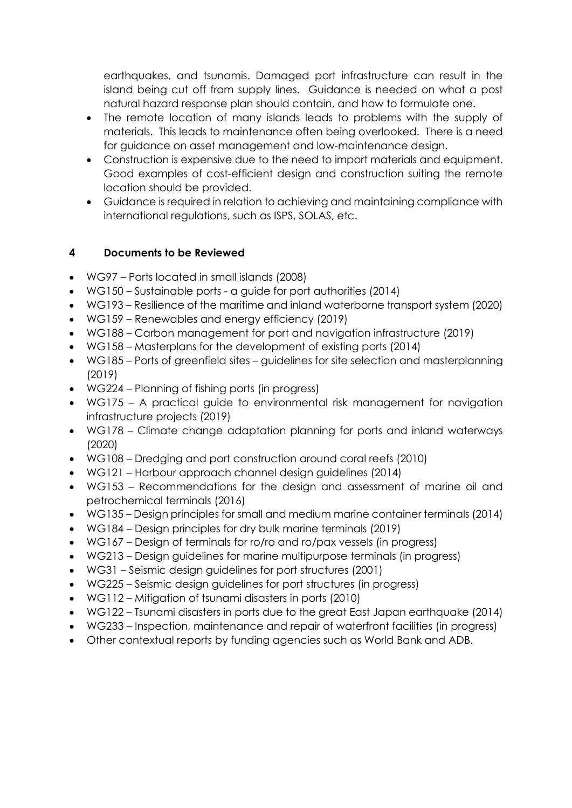earthquakes, and tsunamis. Damaged port infrastructure can result in the island being cut off from supply lines. Guidance is needed on what a post natural hazard response plan should contain, and how to formulate one.

- The remote location of many islands leads to problems with the supply of materials. This leads to maintenance often being overlooked. There is a need for guidance on asset management and low-maintenance design.
- Construction is expensive due to the need to import materials and equipment. Good examples of cost-efficient design and construction suiting the remote location should be provided.
- Guidance is required in relation to achieving and maintaining compliance with international regulations, such as ISPS, SOLAS, etc.

#### **4 Documents to be Reviewed**

- WG97 Ports located in small islands (2008)
- WG150 Sustainable ports a guide for port authorities (2014)
- WG193 Resilience of the maritime and inland waterborne transport system (2020)
- WG159 Renewables and energy efficiency (2019)
- WG188 Carbon management for port and navigation infrastructure (2019)
- WG158 Masterplans for the development of existing ports (2014)
- WG185 Ports of greenfield sites guidelines for site selection and masterplanning (2019)
- WG224 Planning of fishing ports (in progress)
- WG175 A practical guide to environmental risk management for navigation infrastructure projects (2019)
- WG178 Climate change adaptation planning for ports and inland waterways (2020)
- WG108 Dredging and port construction around coral reefs (2010)
- WG121 Harbour approach channel design guidelines (2014)
- WG153 Recommendations for the design and assessment of marine oil and petrochemical terminals (2016)
- WG135 Design principles for small and medium marine container terminals (2014)
- WG184 Design principles for dry bulk marine terminals (2019)
- WG167 Design of terminals for ro/ro and ro/pax vessels (in progress)
- WG213 Design guidelines for marine multipurpose terminals (in progress)
- WG31 Seismic design guidelines for port structures (2001)
- WG225 Seismic design guidelines for port structures (in progress)
- WG112 Mitigation of tsunami disasters in ports (2010)
- WG122 Tsunami disasters in ports due to the great East Japan earthquake (2014)
- WG233 Inspection, maintenance and repair of waterfront facilities (in progress)
- Other contextual reports by funding agencies such as World Bank and ADB.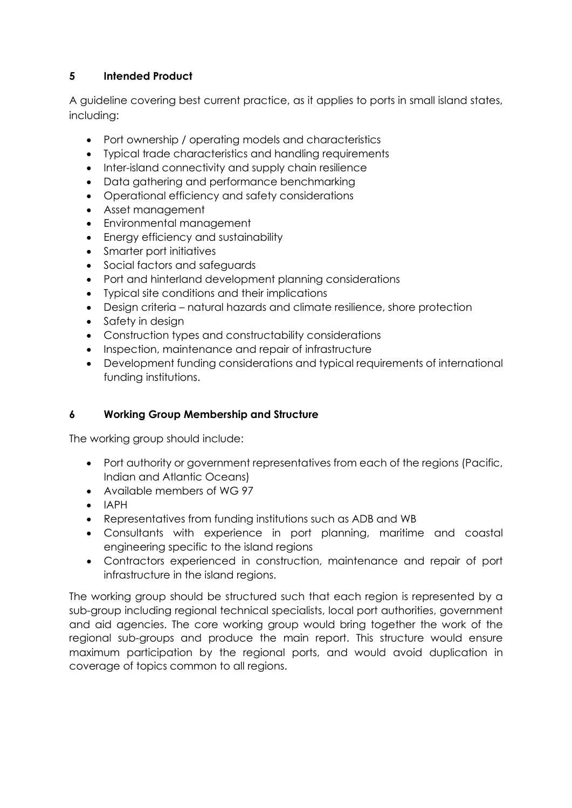#### **5 Intended Product**

A guideline covering best current practice, as it applies to ports in small island states, including:

- Port ownership / operating models and characteristics
- Typical trade characteristics and handling requirements
- Inter-island connectivity and supply chain resilience
- Data gathering and performance benchmarking
- Operational efficiency and safety considerations
- Asset management
- Environmental management
- Energy efficiency and sustainability
- Smarter port initiatives
- Social factors and safeguards
- Port and hinterland development planning considerations
- Typical site conditions and their implications
- Design criteria natural hazards and climate resilience, shore protection
- Safety in design
- Construction types and constructability considerations
- Inspection, maintenance and repair of infrastructure
- Development funding considerations and typical requirements of international funding institutions.

#### **6 Working Group Membership and Structure**

The working group should include:

- Port authority or government representatives from each of the regions (Pacific, Indian and Atlantic Oceans)
- Available members of WG 97
- IAPH
- Representatives from funding institutions such as ADB and WB
- Consultants with experience in port planning, maritime and coastal engineering specific to the island regions
- Contractors experienced in construction, maintenance and repair of port infrastructure in the island regions.

The working group should be structured such that each region is represented by a sub-group including regional technical specialists, local port authorities, government and aid agencies. The core working group would bring together the work of the regional sub-groups and produce the main report. This structure would ensure maximum participation by the regional ports, and would avoid duplication in coverage of topics common to all regions.